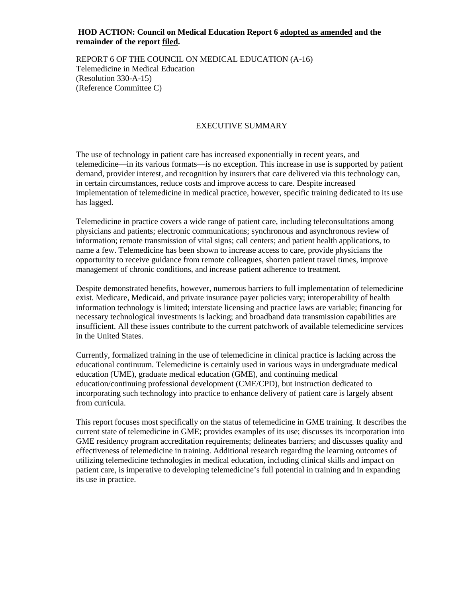## **HOD ACTION: Council on Medical Education Report 6 adopted as amended and the remainder of the report filed.**

REPORT 6 OF THE COUNCIL ON MEDICAL EDUCATION (A-16) Telemedicine in Medical Education (Resolution 330-A-15) (Reference Committee C)

# EXECUTIVE SUMMARY

The use of technology in patient care has increased exponentially in recent years, and telemedicine—in its various formats—is no exception. This increase in use is supported by patient demand, provider interest, and recognition by insurers that care delivered via this technology can, in certain circumstances, reduce costs and improve access to care. Despite increased implementation of telemedicine in medical practice, however, specific training dedicated to its use has lagged.

Telemedicine in practice covers a wide range of patient care, including teleconsultations among physicians and patients; electronic communications; synchronous and asynchronous review of information; remote transmission of vital signs; call centers; and patient health applications, to name a few. Telemedicine has been shown to increase access to care, provide physicians the opportunity to receive guidance from remote colleagues, shorten patient travel times, improve management of chronic conditions, and increase patient adherence to treatment.

Despite demonstrated benefits, however, numerous barriers to full implementation of telemedicine exist. Medicare, Medicaid, and private insurance payer policies vary; interoperability of health information technology is limited; interstate licensing and practice laws are variable; financing for necessary technological investments is lacking; and broadband data transmission capabilities are insufficient. All these issues contribute to the current patchwork of available telemedicine services in the United States.

Currently, formalized training in the use of telemedicine in clinical practice is lacking across the educational continuum. Telemedicine is certainly used in various ways in undergraduate medical education (UME), graduate medical education (GME), and continuing medical education/continuing professional development (CME/CPD), but instruction dedicated to incorporating such technology into practice to enhance delivery of patient care is largely absent from curricula.

This report focuses most specifically on the status of telemedicine in GME training. It describes the current state of telemedicine in GME; provides examples of its use; discusses its incorporation into GME residency program accreditation requirements; delineates barriers; and discusses quality and effectiveness of telemedicine in training. Additional research regarding the learning outcomes of utilizing telemedicine technologies in medical education, including clinical skills and impact on patient care, is imperative to developing telemedicine's full potential in training and in expanding its use in practice.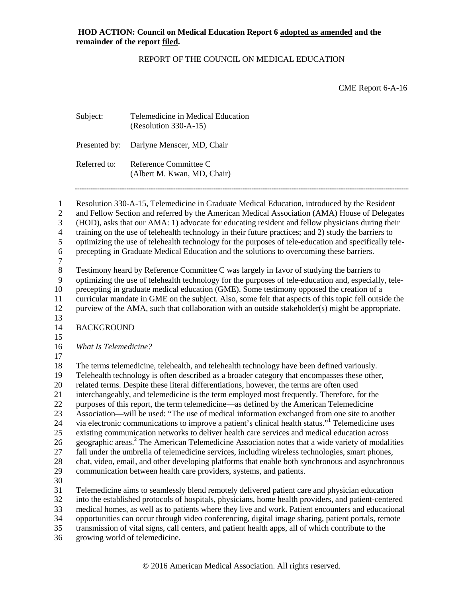### REPORT OF THE COUNCIL ON MEDICAL EDUCATION

CME Report 6-A-16

| Subject:     | Telemedicine in Medical Education<br>$(Resolution 330-A-15)$ |
|--------------|--------------------------------------------------------------|
|              | Presented by: Darlyne Menscer, MD, Chair                     |
| Referred to: | Reference Committee C<br>(Albert M. Kwan, MD, Chair)         |

 Resolution 330-A-15, Telemedicine in Graduate Medical Education, introduced by the Resident and Fellow Section and referred by the American Medical Association (AMA) House of Delegates (HOD), asks that our AMA: 1) advocate for educating resident and fellow physicians during their training on the use of telehealth technology in their future practices; and 2) study the barriers to optimizing the use of telehealth technology for the purposes of tele-education and specifically tele- precepting in Graduate Medical Education and the solutions to overcoming these barriers.  $\frac{7}{8}$ Testimony heard by Reference Committee C was largely in favor of studying the barriers to optimizing the use of telehealth technology for the purposes of tele-education and, especially, tele- precepting in graduate medical education (GME). Some testimony opposed the creation of a curricular mandate in GME on the subject. Also, some felt that aspects of this topic fell outside the purview of the AMA, such that collaboration with an outside stakeholder(s) might be appropriate. BACKGROUND *What Is Telemedicine?* The terms telemedicine, telehealth, and telehealth technology have been defined variously. Telehealth technology is often described as a broader category that encompasses these other, related terms. Despite these literal differentiations, however, the terms are often used interchangeably, and telemedicine is the term employed most frequently. Therefore, for the purposes of this report, the term telemedicine—as defined by the American Telemedicine Association—will be used: "The use of medical information exchanged from one site to another 24 via electronic communications to improve a patient's clinical health status."<sup>1</sup> Telemedicine uses existing communication networks to deliver health care services and medical education across 26 geographic areas.<sup>2</sup> The American Telemedicine Association notes that a wide variety of modalities fall under the umbrella of telemedicine services, including wireless technologies, smart phones, chat, video, email, and other developing platforms that enable both synchronous and asynchronous communication between health care providers, systems, and patients. Telemedicine aims to seamlessly blend remotely delivered patient care and physician education into the established protocols of hospitals, physicians, home health providers, and patient-centered medical homes, as well as to patients where they live and work. Patient encounters and educational opportunities can occur through video conferencing, digital image sharing, patient portals, remote transmission of vital signs, call centers, and patient health apps, all of which contribute to the

growing world of telemedicine.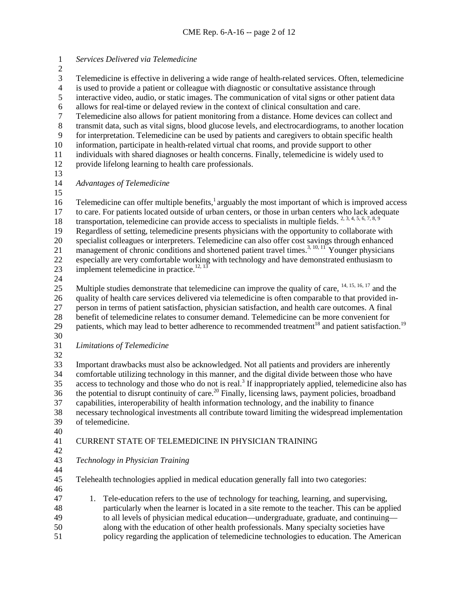*Services Delivered via Telemedicine* Telemedicine is effective in delivering a wide range of health-related services. Often, telemedicine 4 is used to provide a patient or colleague with diagnostic or consultative assistance through<br>5 interactive video, audio, or static images. The communication of vital signs or other patient interactive video, audio, or static images. The communication of vital signs or other patient data 6 allows for real-time or delayed review in the context of clinical consultation and care.<br>
Telemedicine also allows for patient monitoring from a distance. Home devices can co Telemedicine also allows for patient monitoring from a distance. Home devices can collect and transmit data, such as vital signs, blood glucose levels, and electrocardiograms, to another location for interpretation. Telemedicine can be used by patients and caregivers to obtain specific health information, participate in health-related virtual chat rooms, and provide support to other individuals with shared diagnoses or health concerns. Finally, telemedicine is widely used to provide lifelong learning to health care professionals. *Advantages of Telemedicine* 16 Telemedicine can offer multiple benefits, $\frac{1}{2}$  arguably the most important of which is improved access to care. For patients located outside of urban centers, or those in urban centers who lack adequate 18 transportation, telemedicine can provide access to specialists in multiple fields.  $2, 3, 4, 5, 6, 7, 8, 9$  Regardless of setting, telemedicine presents physicians with the opportunity to collaborate with specialist colleagues or interpreters. Telemedicine can also offer cost savings through enhanced 21 management of chronic conditions and shortened patient travel times.<sup>3, 10, 11</sup> Younger physicians especially are very comfortable working with technology and have demonstrated enthusiasm to 23 implement telemedicine in practice.<sup>12, 13</sup> 25 Multiple studies demonstrate that telemedicine can improve the quality of care,  $^{14, 15, 16, 17}$  and the quality of health care services delivered via telemedicine is often comparable to that provided in- person in terms of patient satisfaction, physician satisfaction, and health care outcomes. A final 28 benefit of telemedicine relates to consumer demand. Telemedicine can be more convenient for patients, which may lead to better adherence to recommended treatment<sup>18</sup> and patient satisfaction patients, which may lead to better adherence to recommended treatment<sup>18</sup> and patient satisfaction.<sup>19</sup> *Limitations of Telemedicine* Important drawbacks must also be acknowledged. Not all patients and providers are inherently comfortable utilizing technology in this manner, and the digital divide between those who have access to technology and those who do not is real.<sup>3</sup> If inappropriately applied, telemedicine also has 36 the potential to disrupt continuity of care.<sup>20</sup> Finally, licensing laws, payment policies, broadband capabilities, interoperability of health information technology, and the inability to finance necessary technological investments all contribute toward limiting the widespread implementation of telemedicine. CURRENT STATE OF TELEMEDICINE IN PHYSICIAN TRAINING *Technology in Physician Training* Telehealth technologies applied in medical education generally fall into two categories: 1. Tele-education refers to the use of technology for teaching, learning, and supervising, particularly when the learner is located in a site remote to the teacher. This can be applied to all levels of physician medical education—undergraduate, graduate, and continuing— along with the education of other health professionals. Many specialty societies have policy regarding the application of telemedicine technologies to education. The American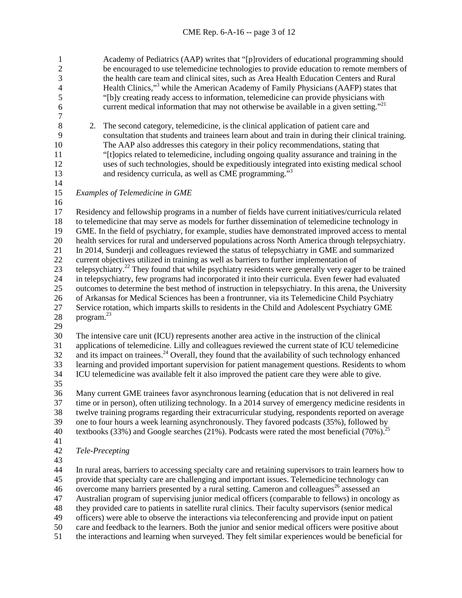1 Academy of Pediatrics (AAP) writes that "[p]roviders of educational programming should<br>2 be encouraged to use telemedicine technologies to provide education to remote members of be encouraged to use telemedicine technologies to provide education to remote members of 3 the health care team and clinical sites, such as Area Health Education Centers and Rural<br>4 Health Clinics,"<sup>3</sup> while the American Academy of Family Physicians (AAFP) states that Health Clinics,"<sup>3</sup> while the American Academy of Family Physicians (AAFP) states that<br>
"[b]y creating ready access to information, telemedicine can provide physicians with "[b]y creating ready access to information, telemedicine can provide physicians with 6 current medical information that may not otherwise be available in a given setting."<sup>21</sup>  $\begin{array}{c} 7 \\ 8 \end{array}$ 8 2. The second category, telemedicine, is the clinical application of patient care and consultation that students and trainees learn about and train in during their clinical consultation that students and trainees learn about and train in during their clinical training. The AAP also addresses this category in their policy recommendations, stating that "[t]opics related to telemedicine, including ongoing quality assurance and training in the uses of such technologies, should be expeditiously integrated into existing medical school and residency curricula, as well as CME programming." <sup>3</sup> *Examples of Telemedicine in GME*  Residency and fellowship programs in a number of fields have current initiatives/curricula related to telemedicine that may serve as models for further dissemination of telemedicine technology in GME. In the field of psychiatry, for example, studies have demonstrated improved access to mental health services for rural and underserved populations across North America through telepsychiatry. In 2014, Sunderji and colleagues reviewed the status of telepsychiatry in GME and summarized current objectives utilized in training as well as barriers to further implementation of 23 telepsychiatry.<sup>22</sup> They found that while psychiatry residents were generally very eager to be trained in telepsychiatry, few programs had incorporated it into their curricula. Even fewer had evaluated outcomes to determine the best method of instruction in telepsychiatry. In this arena, the University of Arkansas for Medical Sciences has been a frontrunner, via its Telemedicine Child Psychiatry Service rotation, which imparts skills to residents in the Child and Adolescent Psychiatry GME 28 program. $^{23}$  The intensive care unit (ICU) represents another area active in the instruction of the clinical applications of telemedicine. Lilly and colleagues reviewed the current state of ICU telemedicine and its impact on trainees.<sup>24</sup> Overall, they found that the availability of such technology enhanced learning and provided important supervision for patient management questions. Residents to whom ICU telemedicine was available felt it also improved the patient care they were able to give. Many current GME trainees favor asynchronous learning (education that is not delivered in real time or in person), often utilizing technology. In a 2014 survey of emergency medicine residents in twelve training programs regarding their extracurricular studying, respondents reported on average one to four hours a week learning asynchronously. They favored podcasts (35%), followed by 40 textbooks (33%) and Google searches (21%). Podcasts were rated the most beneficial (70%).<sup>25</sup> *Tele-Precepting* In rural areas, barriers to accessing specialty care and retaining supervisors to train learners how to provide that specialty care are challenging and important issues. Telemedicine technology can 46 overcome many barriers presented by a rural setting. Cameron and colleagues<sup>26</sup> assessed an Australian program of supervising junior medical officers (comparable to fellows) in oncology as they provided care to patients in satellite rural clinics. Their faculty supervisors (senior medical officers) were able to observe the interactions via teleconferencing and provide input on patient care and feedback to the learners. Both the junior and senior medical officers were positive about

the interactions and learning when surveyed. They felt similar experiences would be beneficial for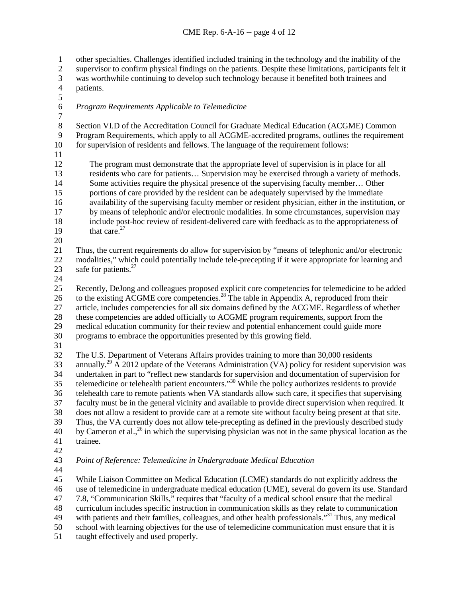other specialties. Challenges identified included training in the technology and the inability of the supervisor to confirm physical findings on the patients. Despite these limitations, participants felt it 3 was worthwhile continuing to develop such technology because it benefited both trainees and patients.

patients.

- *Program Requirements Applicable to Telemedicine*
- $\frac{7}{8}$  Section VI.D of the Accreditation Council for Graduate Medical Education (ACGME) Common Program Requirements, which apply to all ACGME-accredited programs, outlines the requirement for supervision of residents and fellows. The language of the requirement follows:
- 

 The program must demonstrate that the appropriate level of supervision is in place for all 13 residents who care for patients... Supervision may be exercised through a variety of methods.<br>14 Some activities require the physical presence of the supervising faculty member... Other Some activities require the physical presence of the supervising faculty member... Other portions of care provided by the resident can be adequately supervised by the immediate availability of the supervising faculty member or resident physician, either in the institution, or 17 by means of telephonic and/or electronic modalities. In some circumstances, supervision may include post-hoc review of resident-delivered care with feedback as to the appropriateness of 19 that care.

 Thus, the current requirements do allow for supervision by "means of telephonic and/or electronic modalities," which could potentially include tele-precepting if it were appropriate for learning and 23 safe for patients.

 Recently, DeJong and colleagues proposed explicit core competencies for telemedicine to be added 26 to the existing  $\overrightarrow{ACGME}$  core competencies.<sup>28</sup> The table in Appendix A, reproduced from their article, includes competencies for all six domains defined by the ACGME. Regardless of whether 28 these competencies are added officially to ACGME program requirements, support from the medical education community for their review and potential enhancement could guide more medical education community for their review and potential enhancement could guide more programs to embrace the opportunities presented by this growing field.

 The U.S. Department of Veterans Affairs provides training to more than 30,000 residents 33 annually.<sup>29</sup>  $\overline{A}$  2012 update of the Veterans Administration (VA) policy for resident supervision was undertaken in part to "reflect new standards for supervision and documentation of supervision for telemedicine or telehealth patient encounters."<sup>30</sup> While the policy authorizes residents to provide telehealth care to remote patients when VA standards allow such care, it specifies that supervising faculty must be in the general vicinity and available to provide direct supervision when required. It does not allow a resident to provide care at a remote site without faculty being present at that site. Thus, the VA currently does not allow tele-precepting as defined in the previously described study 40 by Cameron et al.,<sup>26</sup> in which the supervising physician was not in the same physical location as the trainee.

*Point of Reference: Telemedicine in Undergraduate Medical Education*

 While Liaison Committee on Medical Education (LCME) standards do not explicitly address the use of telemedicine in undergraduate medical education (UME), several do govern its use. Standard 7.8, "Communication Skills," requires that "faculty of a medical school ensure that the medical curriculum includes specific instruction in communication skills as they relate to communication

49 with patients and their families, colleagues, and other health professionals.<sup>31</sup> Thus, any medical

- school with learning objectives for the use of telemedicine communication must ensure that it is
- taught effectively and used properly.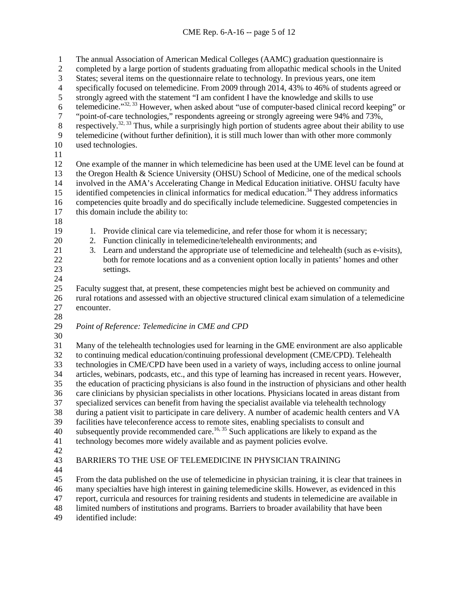The annual Association of American Medical Colleges (AAMC) graduation questionnaire is completed by a large portion of students graduating from allopathic medical schools in the United States; several items on the questionnaire relate to technology. In previous years, one item 4 specifically focused on telemedicine. From 2009 through 2014, 43% to 46% of students agreed or<br>5 strongly agreed with the statement "I am confident I have the knowledge and skills to use strongly agreed with the statement "I am confident I have the knowledge and skills to use 6 telemedicine." $32, 33$  However, when asked about "use of computer-based clinical record keeping" or  $\frac{1}{2}$  "point-of-care technologies," respondents agreeing or strongly agreeing were 94% and 73%,<br>8 respectively.<sup>32, 33</sup> Thus, while a surprisingly high portion of students agree about their ability respectively.<sup>32, 33</sup> Thus, while a surprisingly high portion of students agree about their ability to use telemedicine (without further definition), it is still much lower than with other more commonly used technologies. One example of the manner in which telemedicine has been used at the UME level can be found at 13 the Oregon Health & Science University (OHSU) School of Medicine, one of the medical schools<br>14 involved in the AMA's Accelerating Change in Medical Education initiative. OHSU faculty have involved in the AMA's Accelerating Change in Medical Education initiative. OHSU faculty have 15 identified competencies in clinical informatics for medical education.<sup>34</sup> They address informatics competencies quite broadly and do specifically include telemedicine. Suggested competencies in this domain include the ability to: 1. Provide clinical care via telemedicine, and refer those for whom it is necessary; 2. Function clinically in telemedicine/telehealth environments; and 3. Learn and understand the appropriate use of telemedicine and telehealth (such as e-visits), both for remote locations and as a convenient option locally in patients' homes and other settings. Faculty suggest that, at present, these competencies might best be achieved on community and rural rotations and assessed with an objective structured clinical exam simulation of a telemedicine encounter. 28<br>29 *Point of Reference: Telemedicine in CME and CPD* Many of the telehealth technologies used for learning in the GME environment are also applicable to continuing medical education/continuing professional development (CME/CPD). Telehealth technologies in CME/CPD have been used in a variety of ways, including access to online journal articles, webinars, podcasts, etc., and this type of learning has increased in recent years. However, the education of practicing physicians is also found in the instruction of physicians and other health care clinicians by physician specialists in other locations. Physicians located in areas distant from specialized services can benefit from having the specialist available via telehealth technology during a patient visit to participate in care delivery. A number of academic health centers and VA facilities have teleconference access to remote sites, enabling specialists to consult and 40 subsequently provide recommended care.<sup>16, 35</sup> Such applications are likely to expand as the technology becomes more widely available and as payment policies evolve. BARRIERS TO THE USE OF TELEMEDICINE IN PHYSICIAN TRAINING From the data published on the use of telemedicine in physician training, it is clear that trainees in many specialties have high interest in gaining telemedicine skills. However, as evidenced in this report, curricula and resources for training residents and students in telemedicine are available in

limited numbers of institutions and programs. Barriers to broader availability that have been

identified include: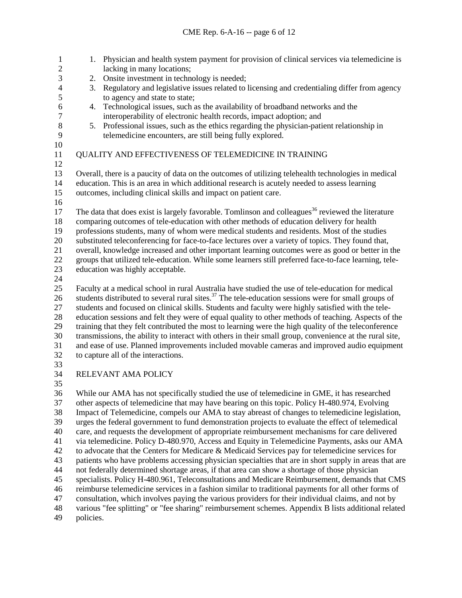1. Physician and health system payment for provision of clinical services via telemedicine is lacking in many locations; 3 2. Onsite investment in technology is needed;<br>4 3. Regulatory and legislative issues related to 1 4 3. Regulatory and legislative issues related to licensing and credentialing differ from agency<br>5 to agency and state to state: to agency and state to state: 6 4. Technological issues, such as the availability of broadband networks and the interconerability of electronic health records, impact adoption: and 7 interoperability of electronic health records, impact adoption; and<br>8 5. Professional issues, such as the ethics regarding the physician-pation 5. Professional issues, such as the ethics regarding the physician-patient relationship in telemedicine encounters, are still being fully explored. QUALITY AND EFFECTIVENESS OF TELEMEDICINE IN TRAINING Overall, there is a paucity of data on the outcomes of utilizing telehealth technologies in medical education. This is an area in which additional research is acutely needed to assess learning outcomes, including clinical skills and impact on patient care. 17 The data that does exist is largely favorable. Tomlinson and colleagues<sup>36</sup> reviewed the literature comparing outcomes of tele-education with other methods of education delivery for health professions students, many of whom were medical students and residents. Most of the studies substituted teleconferencing for face-to-face lectures over a variety of topics. They found that, overall, knowledge increased and other important learning outcomes were as good or better in the groups that utilized tele-education. While some learners still preferred face-to-face learning, tele- education was highly acceptable. Faculty at a medical school in rural Australia have studied the use of tele-education for medical students distributed to several rural sites.<sup>37</sup> The tele-education sessions were for small groups of students distributed to several rural sites.<sup>37</sup> The tele-education sessions were for small groups of students and focused on clinical skills. Students and faculty were highly satisfied with the tele-28 education sessions and felt they were of equal quality to other methods of teaching. Aspects of the training that they felt contributed the most to learning were the high quality of the teleconference training that they felt contributed the most to learning were the high quality of the teleconference transmissions, the ability to interact with others in their small group, convenience at the rural site, and ease of use. Planned improvements included movable cameras and improved audio equipment to capture all of the interactions. RELEVANT AMA POLICY While our AMA has not specifically studied the use of telemedicine in GME, it has researched other aspects of telemedicine that may have bearing on this topic. Policy H-480.974, Evolving Impact of Telemedicine, compels our AMA to stay abreast of changes to telemedicine legislation, urges the federal government to fund demonstration projects to evaluate the effect of telemedical care, and requests the development of appropriate reimbursement mechanisms for care delivered via telemedicine. Policy D-480.970, Access and Equity in Telemedicine Payments, asks our AMA to advocate that the Centers for Medicare & Medicaid Services pay for telemedicine services for patients who have problems accessing physician specialties that are in short supply in areas that are not federally determined shortage areas, if that area can show a shortage of those physician specialists. Policy H-480.961, Teleconsultations and Medicare Reimbursement, demands that CMS reimburse telemedicine services in a fashion similar to traditional payments for all other forms of

consultation, which involves paying the various providers for their individual claims, and not by

 various "fee splitting" or "fee sharing" reimbursement schemes. Appendix B lists additional related policies.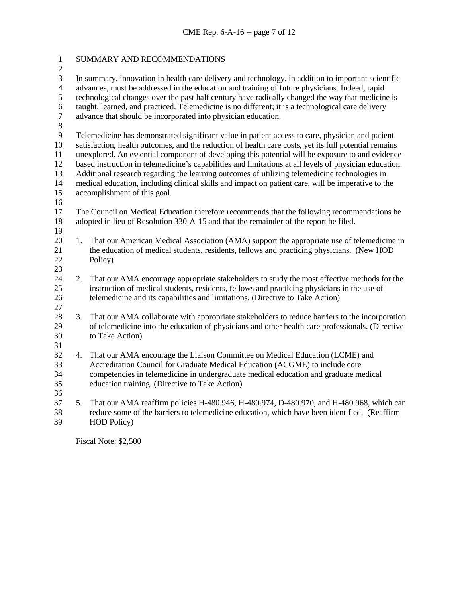| $\mathbf{1}$<br>$\overline{c}$ | SUMMARY AND RECOMMENDATIONS                                                                                                                                                                                |                                                                                                                                                                                                       |  |  |
|--------------------------------|------------------------------------------------------------------------------------------------------------------------------------------------------------------------------------------------------------|-------------------------------------------------------------------------------------------------------------------------------------------------------------------------------------------------------|--|--|
| 3                              | In summary, innovation in health care delivery and technology, in addition to important scientific                                                                                                         |                                                                                                                                                                                                       |  |  |
| $\overline{4}$<br>5            | advances, must be addressed in the education and training of future physicians. Indeed, rapid                                                                                                              |                                                                                                                                                                                                       |  |  |
| $\sqrt{6}$                     |                                                                                                                                                                                                            | technological changes over the past half century have radically changed the way that medicine is<br>taught, learned, and practiced. Telemedicine is no different; it is a technological care delivery |  |  |
| $\boldsymbol{7}$               | advance that should be incorporated into physician education.                                                                                                                                              |                                                                                                                                                                                                       |  |  |
| $\,8\,$                        |                                                                                                                                                                                                            |                                                                                                                                                                                                       |  |  |
| 9                              | Telemedicine has demonstrated significant value in patient access to care, physician and patient                                                                                                           |                                                                                                                                                                                                       |  |  |
| 10<br>11                       | satisfaction, health outcomes, and the reduction of health care costs, yet its full potential remains<br>unexplored. An essential component of developing this potential will be exposure to and evidence- |                                                                                                                                                                                                       |  |  |
| 12                             | based instruction in telemedicine's capabilities and limitations at all levels of physician education.                                                                                                     |                                                                                                                                                                                                       |  |  |
| 13                             | Additional research regarding the learning outcomes of utilizing telemedicine technologies in                                                                                                              |                                                                                                                                                                                                       |  |  |
| 14<br>15                       | medical education, including clinical skills and impact on patient care, will be imperative to the                                                                                                         |                                                                                                                                                                                                       |  |  |
| 16                             | accomplishment of this goal.                                                                                                                                                                               |                                                                                                                                                                                                       |  |  |
| 17                             | The Council on Medical Education therefore recommends that the following recommendations be                                                                                                                |                                                                                                                                                                                                       |  |  |
| 18                             |                                                                                                                                                                                                            | adopted in lieu of Resolution 330-A-15 and that the remainder of the report be filed.                                                                                                                 |  |  |
| 19<br>20                       | 1.                                                                                                                                                                                                         | That our American Medical Association (AMA) support the appropriate use of telemedicine in                                                                                                            |  |  |
| 21                             |                                                                                                                                                                                                            | the education of medical students, residents, fellows and practicing physicians. (New HOD)                                                                                                            |  |  |
| 22                             |                                                                                                                                                                                                            | Policy)                                                                                                                                                                                               |  |  |
| 23                             |                                                                                                                                                                                                            |                                                                                                                                                                                                       |  |  |
| 24<br>25                       | 2.                                                                                                                                                                                                         | That our AMA encourage appropriate stakeholders to study the most effective methods for the<br>instruction of medical students, residents, fellows and practicing physicians in the use of            |  |  |
| 26                             |                                                                                                                                                                                                            | telemedicine and its capabilities and limitations. (Directive to Take Action)                                                                                                                         |  |  |
| 27                             |                                                                                                                                                                                                            |                                                                                                                                                                                                       |  |  |
| 28                             | 3.                                                                                                                                                                                                         | That our AMA collaborate with appropriate stakeholders to reduce barriers to the incorporation                                                                                                        |  |  |
| 29<br>30                       |                                                                                                                                                                                                            | of telemedicine into the education of physicians and other health care professionals. (Directive<br>to Take Action)                                                                                   |  |  |
| 31                             |                                                                                                                                                                                                            |                                                                                                                                                                                                       |  |  |
| 32                             | 4.                                                                                                                                                                                                         | That our AMA encourage the Liaison Committee on Medical Education (LCME) and                                                                                                                          |  |  |
| 33                             |                                                                                                                                                                                                            | Accreditation Council for Graduate Medical Education (ACGME) to include core                                                                                                                          |  |  |
| 34<br>35                       |                                                                                                                                                                                                            | competencies in telemedicine in undergraduate medical education and graduate medical<br>education training. (Directive to Take Action)                                                                |  |  |
| 36                             |                                                                                                                                                                                                            |                                                                                                                                                                                                       |  |  |
| 37                             | 5.                                                                                                                                                                                                         | That our AMA reaffirm policies H-480.946, H-480.974, D-480.970, and H-480.968, which can                                                                                                              |  |  |
| 38                             |                                                                                                                                                                                                            | reduce some of the barriers to telemedicine education, which have been identified. (Reaffirm                                                                                                          |  |  |
| 39                             |                                                                                                                                                                                                            | HOD Policy)                                                                                                                                                                                           |  |  |
|                                |                                                                                                                                                                                                            |                                                                                                                                                                                                       |  |  |

Fiscal Note: \$2,500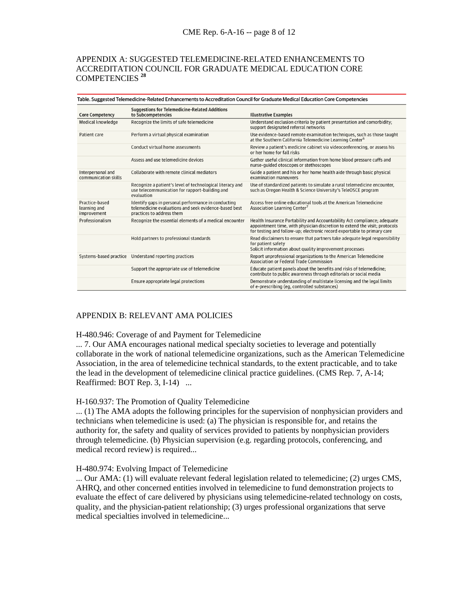# APPENDIX A: SUGGESTED TELEMEDICINE-RELATED ENHANCEMENTS TO ACCREDITATION COUNCIL FOR GRADUATE MEDICAL EDUCATION CORE COMPETENCIES **<sup>28</sup>**

| Table. Suggested Telemedicine-Related Enhancements to Accreditation Council for Graduate Medical Education Core Competencies |                                                                                                                                           |                                                                                                                                                                                                                                   |  |  |
|------------------------------------------------------------------------------------------------------------------------------|-------------------------------------------------------------------------------------------------------------------------------------------|-----------------------------------------------------------------------------------------------------------------------------------------------------------------------------------------------------------------------------------|--|--|
| <b>Core Competency</b>                                                                                                       | Suggestions for Telemedicine-Related Additions<br>to Subcompetencies                                                                      | <b>Illustrative Examples</b>                                                                                                                                                                                                      |  |  |
| Medical knowledge                                                                                                            | Recognize the limits of safe telemedicine                                                                                                 | Understand exclusion criteria by patient presentation and comorbidity;<br>support designated referral networks                                                                                                                    |  |  |
| Patient care                                                                                                                 | Perform a virtual physical examination                                                                                                    | Use evidence-based remote examination techniques, such as those taught<br>at the Southern California Telemedicine Learning Center <sup>6</sup>                                                                                    |  |  |
|                                                                                                                              | Conduct virtual home assessments                                                                                                          | Review a patient's medicine cabinet via videoconferencing, or assess his<br>or her home for fall risks                                                                                                                            |  |  |
|                                                                                                                              | Assess and use telemedicine devices                                                                                                       | Gather useful clinical information from home blood pressure cuffs and<br>nurse-guided otoscopes or stethoscopes                                                                                                                   |  |  |
| Interpersonal and<br>communication skills                                                                                    | Collaborate with remote clinical mediators                                                                                                | Guide a patient and his or her home health aide through basic physical<br>examination maneuvers                                                                                                                                   |  |  |
|                                                                                                                              | Recognize a patient's level of technological literacy and<br>use telecommunication for rapport-building and<br>evaluation                 | Use of standardized patients to simulate a rural telemedicine encounter,<br>such as Oregon Health & Science University's TeleOSCE program                                                                                         |  |  |
| Practice-based<br>learning and<br>improvement                                                                                | Identify gaps in personal performance in conducting<br>telemedicine evaluations and seek evidence-based best<br>practices to address them | Access free online educational tools at the American Telemedicine<br>Association Learning Center <sup>7</sup>                                                                                                                     |  |  |
| Professionalism                                                                                                              | Recognize the essential elements of a medical encounter                                                                                   | Health Insurance Portability and Accountability Act compliance; adequate<br>appointment time, with physician discretion to extend the visit; protocols<br>for testing and follow-up; electronic record exportable to primary care |  |  |
|                                                                                                                              | Hold partners to professional standards                                                                                                   | Read disclaimers to ensure that partners take adequate legal responsibility<br>for patient safety<br>Solicit information about quality improvement processes                                                                      |  |  |
| Systems-based practice                                                                                                       | Understand reporting practices                                                                                                            | Report unprofessional organizations to the American Telemedicine<br>Association or Federal Trade Commission                                                                                                                       |  |  |
|                                                                                                                              | Support the appropriate use of telemedicine                                                                                               | Educate patient panels about the benefits and risks of telemedicine;<br>contribute to public awareness through editorials or social media                                                                                         |  |  |
|                                                                                                                              | Ensure appropriate legal protections                                                                                                      | Demonstrate understanding of multistate licensing and the legal limits<br>of e-prescribing (eg, controlled substances)                                                                                                            |  |  |

# APPENDIX B: RELEVANT AMA POLICIES

### H-480.946: Coverage of and Payment for Telemedicine

... 7. Our AMA encourages national medical specialty societies to leverage and potentially collaborate in the work of national telemedicine organizations, such as the American Telemedicine Association, in the area of telemedicine technical standards, to the extent practicable, and to take the lead in the development of telemedicine clinical practice guidelines. (CMS Rep. 7, A-14; Reaffirmed: BOT Rep. 3, I-14) ...

### H-160.937: The Promotion of Quality Telemedicine

... (1) The AMA adopts the following principles for the supervision of nonphysician providers and technicians when telemedicine is used: (a) The physician is responsible for, and retains the authority for, the safety and quality of services provided to patients by nonphysician providers through telemedicine. (b) Physician supervision (e.g. regarding protocols, conferencing, and medical record review) is required...

### H-480.974: Evolving Impact of Telemedicine

... Our AMA: (1) will evaluate relevant federal legislation related to telemedicine; (2) urges CMS, AHRQ, and other concerned entities involved in telemedicine to fund demonstration projects to evaluate the effect of care delivered by physicians using telemedicine-related technology on costs, quality, and the physician-patient relationship; (3) urges professional organizations that serve medical specialties involved in telemedicine...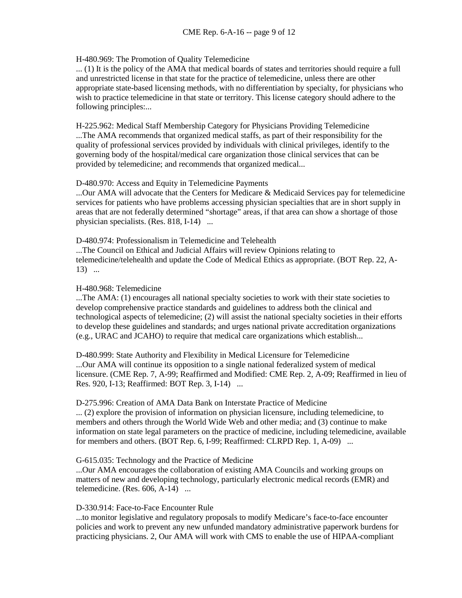# H-480.969: The Promotion of Quality Telemedicine

... (1) It is the policy of the AMA that medical boards of states and territories should require a full and unrestricted license in that state for the practice of telemedicine, unless there are other appropriate state-based licensing methods, with no differentiation by specialty, for physicians who wish to practice telemedicine in that state or territory. This license category should adhere to the following principles:...

H-225.962: Medical Staff Membership Category for Physicians Providing Telemedicine ...The AMA recommends that organized medical staffs, as part of their responsibility for the quality of professional services provided by individuals with clinical privileges, identify to the governing body of the hospital/medical care organization those clinical services that can be provided by telemedicine; and recommends that organized medical...

### D-480.970: Access and Equity in Telemedicine Payments

...Our AMA will advocate that the Centers for Medicare & Medicaid Services pay for telemedicine services for patients who have problems accessing physician specialties that are in short supply in areas that are not federally determined "shortage" areas, if that area can show a shortage of those physician specialists. (Res. 818, I-14) ...

D-480.974: Professionalism in Telemedicine and Telehealth ...The Council on Ethical and Judicial Affairs will review Opinions relating to telemedicine/telehealth and update the Code of Medical Ethics as appropriate. (BOT Rep. 22, A-13) ...

### H-480.968: Telemedicine

...The AMA: (1) encourages all national specialty societies to work with their state societies to develop comprehensive practice standards and guidelines to address both the clinical and technological aspects of telemedicine; (2) will assist the national specialty societies in their efforts to develop these guidelines and standards; and urges national private accreditation organizations (e.g., URAC and JCAHO) to require that medical care organizations which establish...

D-480.999: State Authority and Flexibility in Medical Licensure for Telemedicine ...Our AMA will continue its opposition to a single national federalized system of medical licensure. (CME Rep. 7, A-99; Reaffirmed and Modified: CME Rep. 2, A-09; Reaffirmed in lieu of Res. 920, I-13; Reaffirmed: BOT Rep. 3, I-14) ...

### D-275.996: Creation of AMA Data Bank on Interstate Practice of Medicine

... (2) explore the provision of information on physician licensure, including telemedicine, to members and others through the World Wide Web and other media; and (3) continue to make information on state legal parameters on the practice of medicine, including telemedicine, available for members and others. (BOT Rep. 6, I-99; Reaffirmed: CLRPD Rep. 1, A-09) ...

### G-615.035: Technology and the Practice of Medicine

...Our AMA encourages the collaboration of existing AMA Councils and working groups on matters of new and developing technology, particularly electronic medical records (EMR) and telemedicine. (Res. 606, A-14) ...

### D-330.914: Face-to-Face Encounter Rule

...to monitor legislative and regulatory proposals to modify Medicare's face-to-face encounter policies and work to prevent any new unfunded mandatory administrative paperwork burdens for practicing physicians. 2, Our AMA will work with CMS to enable the use of HIPAA-compliant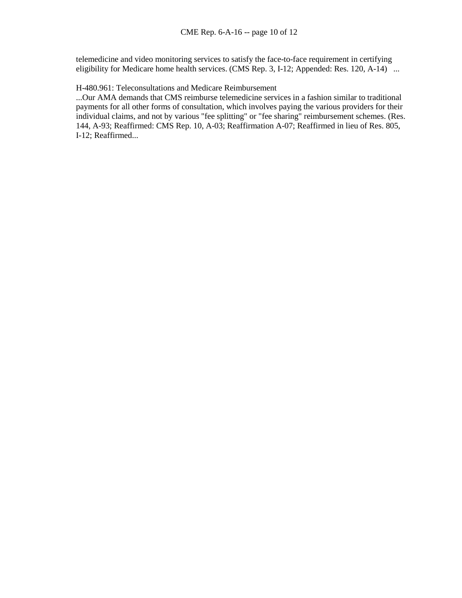telemedicine and video monitoring services to satisfy the face-to-face requirement in certifying eligibility for Medicare home health services. (CMS Rep. 3, I-12; Appended: Res. 120, A-14) ...

## H-480.961: Teleconsultations and Medicare Reimbursement

...Our AMA demands that CMS reimburse telemedicine services in a fashion similar to traditional payments for all other forms of consultation, which involves paying the various providers for their individual claims, and not by various "fee splitting" or "fee sharing" reimbursement schemes. (Res. 144, A-93; Reaffirmed: CMS Rep. 10, A-03; Reaffirmation A-07; Reaffirmed in lieu of Res. 805, I-12; Reaffirmed...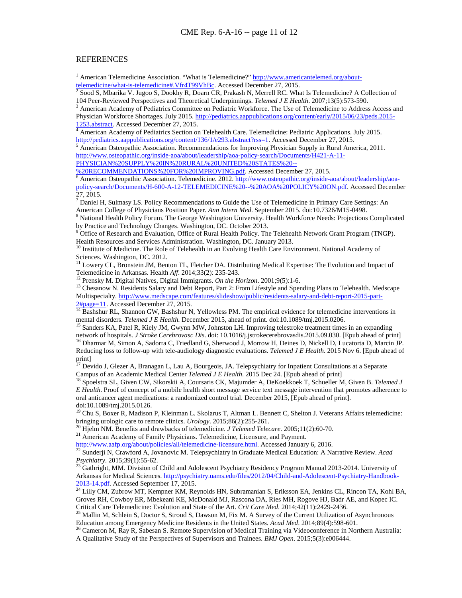### **REFERENCES**

<sup>1</sup> American Telemedicine Association. "What is Telemedicine?"  $\frac{http://www.americantelemed.org/about-telemedicine/what-is-telemedicine#.Vfr4T99VhBe.$  Accessed December 27, 2015.

Sood S, Mbarika V. Jugoo S, Dookhy R, Doarn CR, Prakash N, Merrell RC. What Is Telemedicine? A Collection of

104 Peer-Reviewed Perspectives and Theoretical Underpinnings. *Telemed J E Health*. 2007;13(5):573-590. 3 American Academy of Pediatrics Committee on Pediatric Workforce. The Use of Telemedicine to Address Access and Physician Workforce Shortages. July 2015. [http://pediatrics.aappublications.org/content/early/2015/06/23/peds.2015-](http://pediatrics.aappublications.org/content/early/2015/06/23/peds.2015-1253.abstract)<br>1253.abstract. Accessed December 27, 2015.<br>4 American Academy of Pediatrics Section on Telebesith Care, Te

American Academy of Pediatrics Section on Telehealth Care. Telemedicine: Pediatric Applications. July 2015. [http://pediatrics.aappublications.org/content/136/1/e293.abstract?rss=1.](http://pediatrics.aappublications.org/content/136/1/e293.abstract?rss=1) Accessed December 27, 2015.<br><sup>5</sup> American Osteopathic Association. Recommendations for Improving Physician Supply in Rural America, 2011.

[http://www.osteopathic.org/inside-aoa/about/leadership/aoa-policy-search/Documents/H421-A-11-](http://www.osteopathic.org/inside-aoa/about/leadership/aoa-policy-search/Documents/H421-A-11-PHYSICIAN%20SUPPLY%20IN%20RURAL%20UNITED%20STATES%20--%20RECOMMENDATIONS%20FOR%20IMPROVING.pdf)

[PHYSICIAN%20SUPPLY%20IN%20RURAL%20UNITED%20STATES%20--](http://www.osteopathic.org/inside-aoa/about/leadership/aoa-policy-search/Documents/H421-A-11-PHYSICIAN%20SUPPLY%20IN%20RURAL%20UNITED%20STATES%20--%20RECOMMENDATIONS%20FOR%20IMPROVING.pdf)<br>%20RECOMMENDATIONS%20FOR%20IMPROVING.pdf. Accessed December 27, 2015.

 $\overline{6}$  $\overline{6}$  $\overline{6}$  American Osteopathic Association. Telemedicine. 2012. [http://www.osteopathic.org/inside-aoa/about/leadership/aoa](http://www.osteopathic.org/inside-aoa/about/leadership/aoa-policy-search/Documents/H-600-A-12-TELEMEDICINE%20--%20AOA%20POLICY%20ON.pdf)[policy-search/Documents/H-600-A-12-TELEMEDICINE%20--%20AOA%20POLICY%20ON.pdf.](http://www.osteopathic.org/inside-aoa/about/leadership/aoa-policy-search/Documents/H-600-A-12-TELEMEDICINE%20--%20AOA%20POLICY%20ON.pdf) Accessed December 27, 2015.

<sup>7</sup> Daniel H, Sulmasy LS. Policy Recommendations to Guide the Use of Telemedicine in Primary Care Settings: An American College of Physicians Position Paper. Ann Intern Med. September 2015. doi:10.7326/M15-0498.

<sup>8</sup> National Health Policy Forum. The George Washington University. Health Workforce Needs: Projections Complicated by Practice and Technology Changes. Washington, DC. October 2013.

<sup>9</sup> Office of Research and Evaluation, Office of Rural Health Policy. The Telehealth Network Grant Program (TNGP). Health Resources and Services Administration. Washington, DC. January 2013.

<sup>10</sup> Institute of Medicine. The Role of Telehealth in an Evolving Health Care Environment. National Academy of Sciences. Washington, DC. 2012.

<sup>11</sup> Lowery CL, Bronstein JM, Benton TL, Fletcher DA. Distributing Medical Expertise: The Evolution and Impact of Telemedicine in Arkansas. Health *Aff.* 2014;33(2): 235-243.<br><sup>12</sup> Prensky M. Digital Natives, Digital Immigrants. *On the Horizon*. 2001;9(5):1-6.<br><sup>13</sup> Chesanow N. Residents Salary and Debt Report, Part 2: From Lifestyle a

Multispecialty. [http://www.medscape.com/features/slideshow/public/residents-salary-and-debt-report-2015-part-](http://www.medscape.com/features/slideshow/public/residents-salary-and-debt-report-2015-part-2#page=11)

 $\frac{2\#page=11}{^{14}}$ . Accessed December 27, 2015.<br><sup>14</sup> Bashshur RL, Shannon GW, Bashshur N, Yellowless PM. The empirical evidence for telemedicine interventions in<br>mental disorders. *Telemed J E Health*. December 2015, ahead

<sup>15</sup> Sanders KA, Patel R, Kiely JM, Gwynn MW, Johnston LH. Improving telestroke treatment times in an expanding network of hospitals. *J Stroke Cerebrovasc Dis*. doi: 10.1016/j.jstrokecerebrovasdis. 2015.09.030. [Epub ahea

<sup>16</sup> Dharmar M, Simon A, Sadorra C, Friedland G, Sherwood J, Morrow H, Deines D, Nickell D, Lucatorta D, Marcin JP. Reducing loss to follow-up with tele-audiology diagnostic evaluations. *Telemed J E Health*. 2015 Nov 6. [Epub ahead of print]<br> $\frac{17}{2}$ 

<sup>17</sup> Devido J, Glezer A, Branagan L, Lau A, Bourgeois, JA. Telepsychiatry for Inpatient Consultations at a Separate Campus of an Academic Medical Center *Telemed J E Health*. 2015 Dec 24. [Epub ahead of print] <sup>18</sup> Spoelstra SL, Given CW, Sikorskii A, Coursaris CK, Majumder A, DeKoekkoek T, Schueller M, Given B. *Telemed J* 

*E Health*. Proof of concept of a mobile health short message service text message intervention that promotes adherence to oral anticancer agent medications: a randomized control trial. December 2015, [Epub ahead of print]. doi:10.1089/tmj.2015.0126.

 $19$  Chu S, Boxer R, Madison P, Kleinman L. Skolarus T, Altman L. Bennett C, Shelton J. Veterans Affairs telemedicine: bringing urologic care to remote clinics. *Urology*. 2015;86(2):255-261.<br><sup>20</sup> Hjelm NM. Benefits and drawbacks of telemedicine. *J Telemed Telecare*. 2005;11(2):60-70.<br><sup>21</sup> American Academy of Family Physicians. Telemedici

<sup>22</sup> Sunderji N, Crawford A, Jovanovic M. Telepsychiatry in Graduate Medical Education: A Narrative Review. *Acad Psychiatry*. 2015;39(1):55-62. <sup>23</sup> Gathright, MM. Division of Child and Adolescent Psychiatry Residency Program Manual 2013-2014. University of

Arkansas for Medical Sciences. [http://psychiatry.uams.edu/files/2012/04/Child-and-Adolescent-Psychiatry-Handbook-](http://psychiatry.uams.edu/files/2012/04/Child-and-Adolescent-Psychiatry-Handbook-2013-14.pdf)[2013-14.pdf.](http://psychiatry.uams.edu/files/2012/04/Child-and-Adolescent-Psychiatry-Handbook-2013-14.pdf) Accessed September 17, 2015.<br><sup>[24](http://psychiatry.uams.edu/files/2012/04/Child-and-Adolescent-Psychiatry-Handbook-2013-14.pdf)</sup> Lilly CM, Zubrow MT, Kempner KM, Reynolds HN, Subramanian S, Eriksson EA, Jenkins CL, Rincon TA, Kohl BA,

Groves RH, Cowboy ER, Mbekeani KE, McDonald MJ, Rascona DA, Ries MH, Rogove HJ, Badr AE, and Kopec IC.

Critical Care Telemedicine: Evolution and State of the Art. *Crit Care Med*. 2014;42(11):2429-2436.<br><sup>25</sup> Mallin M, Schlein S, Doctor S, Stroud S, Dawson M, Fix M. A Survey of the Current Utilization of Asynchronous<br>Educati

<sup>26</sup> Cameron M, Ray R, Sabesan S. Remote Supervision of Medical Training via Videoconference in Northern Australia: A Qualitative Study of the Perspectives of Supervisors and Trainees. *BMJ Open*. 2015;5(3):e006444.